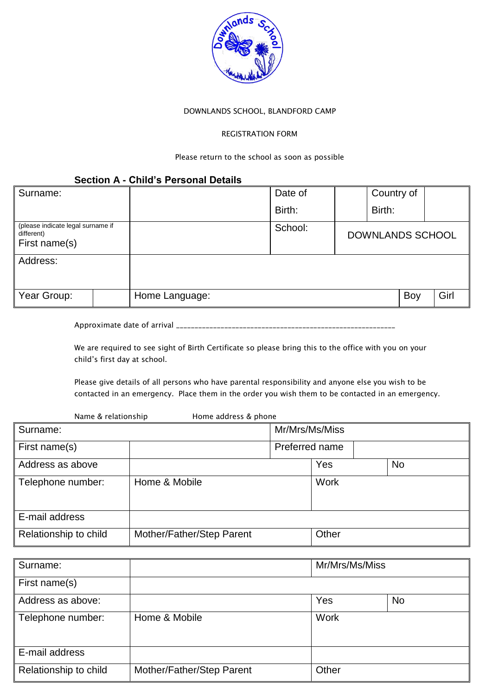

#### DOWNLANDS SCHOOL, BLANDFORD CAMP

#### REGISTRATION FORM

#### Please return to the school as soon as possible

#### **Section A - Child's Personal Details**

| Surname:                                                         |                | Date of |                         | Country of |     |      |
|------------------------------------------------------------------|----------------|---------|-------------------------|------------|-----|------|
|                                                                  |                | Birth:  |                         | Birth:     |     |      |
| (please indicate legal surname if<br>different)<br>First name(s) |                | School: | <b>DOWNLANDS SCHOOL</b> |            |     |      |
| Address:                                                         |                |         |                         |            |     |      |
| ∥ Year Group:                                                    | Home Language: |         |                         |            | Boy | Girl |

Approximate date of arrival \_\_\_\_\_\_\_\_\_\_\_\_\_\_\_\_\_\_\_\_\_\_\_\_\_\_\_\_\_\_\_\_\_\_\_\_\_\_\_\_\_\_\_\_\_\_\_\_\_\_\_\_\_\_\_\_\_\_\_

We are required to see sight of Birth Certificate so please bring this to the office with you on your child's first day at school.

Please give details of all persons who have parental responsibility and anyone else you wish to be contacted in an emergency. Place them in the order you wish them to be contacted in an emergency.

| Name & relationship   | Home address & phone      |                |             |           |
|-----------------------|---------------------------|----------------|-------------|-----------|
| Surname:              |                           | Mr/Mrs/Ms/Miss |             |           |
| First name(s)         |                           | Preferred name |             |           |
| Address as above      |                           |                | Yes         | <b>No</b> |
| Telephone number:     | Home & Mobile             |                | <b>Work</b> |           |
| E-mail address        |                           |                |             |           |
| Relationship to child | Mother/Father/Step Parent |                | Other       |           |

| Surname:              |                           | Mr/Mrs/Ms/Miss |           |
|-----------------------|---------------------------|----------------|-----------|
| First name(s)         |                           |                |           |
| Address as above:     |                           | Yes            | <b>No</b> |
| Telephone number:     | Home & Mobile             | Work           |           |
| E-mail address        |                           |                |           |
| Relationship to child | Mother/Father/Step Parent | Other          |           |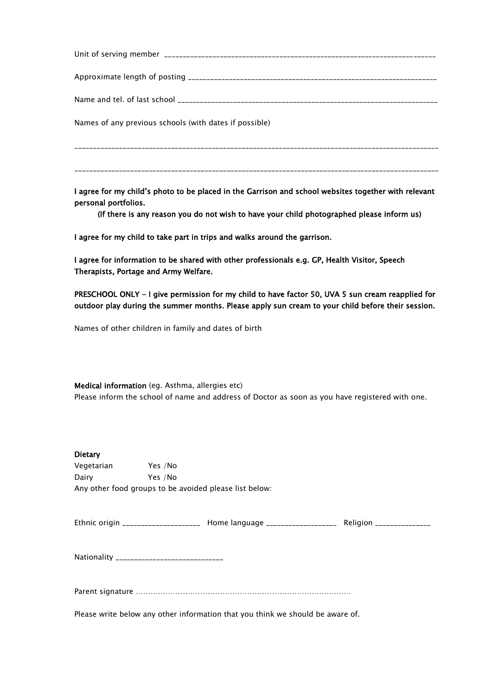| Names of any previous schools (with dates if possible) |
|--------------------------------------------------------|
|                                                        |
|                                                        |

I agree for my child's photo to be placed in the Garrison and school websites together with relevant personal portfolios.

(If there is any reason you do not wish to have your child photographed please inform us)

I agree for my child to take part in trips and walks around the garrison.

I agree for information to be shared with other professionals e.g. GP, Health Visitor, Speech Therapists, Portage and Army Welfare.

PRESCHOOL ONLY - I give permission for my child to have factor 50, UVA 5 sun cream reapplied for outdoor play during the summer months. Please apply sun cream to your child before their session.

Names of other children in family and dates of birth

Medical information (eg. Asthma, allergies etc) Please inform the school of name and address of Doctor as soon as you have registered with one.

| <b>Dietary</b>                                         |         |                                                                                                            |  |
|--------------------------------------------------------|---------|------------------------------------------------------------------------------------------------------------|--|
| Vegetarian Yes / No                                    |         |                                                                                                            |  |
| Dairy                                                  | Yes /No |                                                                                                            |  |
| Any other food groups to be avoided please list below: |         |                                                                                                            |  |
|                                                        |         |                                                                                                            |  |
|                                                        |         | Ethnic origin _______________________ Home language _____________________________ Religion _______________ |  |
| Nationality ______________________________             |         |                                                                                                            |  |
|                                                        |         |                                                                                                            |  |
|                                                        |         | Please write below any other information that you think we should be aware of.                             |  |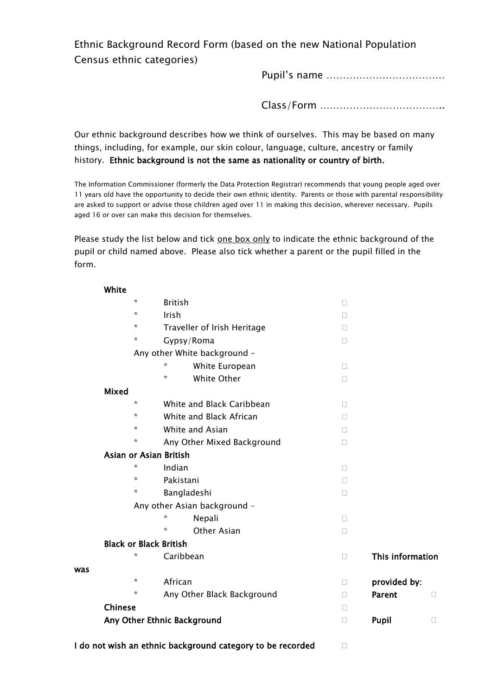Ethnic Background Record Form (based on the new National Population Census ethnic categories)

Pupil's name ………………………………

Class/Form ………………………………..

Our ethnic background describes how we think of ourselves. This may be based on many things, including, for example, our skin colour, language, culture, ancestry or family history. Ethnic background is not the same as nationality or country of birth.

The Information Commissioner (formerly the Data Protection Registrar) recommends that young people aged over 11 years old have the opportunity to decide their own ethnic identity. Parents or those with parental responsibility are asked to support or advise those children aged over 11 in making this decision, wherever necessary. Pupils aged 16 or over can make this decision for themselves.

Please study the list below and tick one box only to indicate the ethnic background of the pupil or child named above. Please also tick whether a parent or the pupil filled in the form.

|     | White          |                               |                        |                              |  |  |              |                  |   |
|-----|----------------|-------------------------------|------------------------|------------------------------|--|--|--------------|------------------|---|
|     |                | $\star$                       | <b>British</b>         |                              |  |  | □            |                  |   |
|     |                | $\star$                       | Irish                  |                              |  |  | П            |                  |   |
|     |                | $\star$                       |                        | Traveller of Irish Heritage  |  |  | $\mathbf{L}$ |                  |   |
|     |                | $\star$                       |                        | Gypsy/Roma                   |  |  | П            |                  |   |
|     |                |                               |                        | Any other White background - |  |  |              |                  |   |
|     |                |                               | $\star$                | White European               |  |  | П            |                  |   |
|     |                |                               | $\star$                | White Other                  |  |  | П            |                  |   |
|     | <b>Mixed</b>   |                               |                        |                              |  |  |              |                  |   |
|     |                | $\star$                       |                        | White and Black Caribbean    |  |  | П            |                  |   |
|     |                | $\star$                       |                        | White and Black African      |  |  | П            |                  |   |
|     |                | $\star$                       |                        | White and Asian              |  |  | $\mathbf{L}$ |                  |   |
|     |                | $\star$                       |                        | Any Other Mixed Background   |  |  | П            |                  |   |
|     |                |                               | Asian or Asian British |                              |  |  |              |                  |   |
|     |                | $\star$                       | Indian                 |                              |  |  | П            |                  |   |
|     |                | $\star$                       | Pakistani              |                              |  |  | П            |                  |   |
|     |                | $\star$                       |                        | Bangladeshi                  |  |  | $\Box$       |                  |   |
|     |                |                               |                        | Any other Asian background - |  |  |              |                  |   |
|     |                |                               | $\star$                | Nepali                       |  |  | П            |                  |   |
|     |                |                               | $\star$                | Other Asian                  |  |  | $\Box$       |                  |   |
|     |                | <b>Black or Black British</b> |                        |                              |  |  |              |                  |   |
|     |                | $\star$                       | Caribbean              |                              |  |  | П            | This information |   |
| was |                |                               |                        |                              |  |  |              |                  |   |
|     |                | $\star$                       | African                |                              |  |  | П            | provided by:     |   |
|     |                | $\star$                       |                        | Any Other Black Background   |  |  | П.           | Parent           | П |
|     | <b>Chinese</b> |                               |                        |                              |  |  | $\Box$       |                  |   |
|     |                |                               |                        | Any Other Ethnic Background  |  |  | П            | Pupil            | П |
|     |                |                               |                        |                              |  |  |              |                  |   |

I do not wish an ethnic background category to be recorded  $\Box$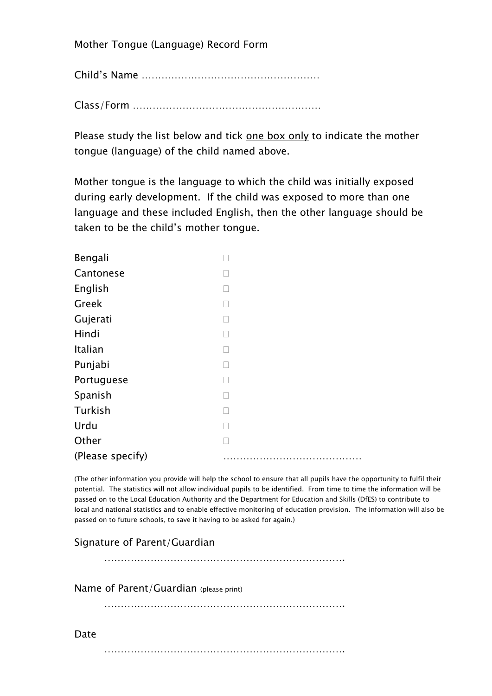Mother Tongue (Language) Record Form

Child's Name ………………………………………………

Class/Form …………………………………………………

Please study the list below and tick one box only to indicate the mother tongue (language) of the child named above.

Mother tongue is the language to which the child was initially exposed during early development. If the child was exposed to more than one language and these included English, then the other language should be taken to be the child's mother tongue.

| Bengali          |   |
|------------------|---|
| Cantonese        |   |
| English          |   |
| Greek            |   |
| Gujerati         |   |
| Hindi            |   |
| Italian          |   |
| Punjabi          |   |
| Portuguese       |   |
| Spanish          |   |
| Turkish          |   |
| Urdu             |   |
| Other            |   |
| (Please specify) | . |

(The other information you provide will help the school to ensure that all pupils have the opportunity to fulfil their potential. The statistics will not allow individual pupils to be identified. From time to time the information will be passed on to the Local Education Authority and the Department for Education and Skills (DfES) to contribute to local and national statistics and to enable effective monitoring of education provision. The information will also be passed on to future schools, to save it having to be asked for again.)

# Signature of Parent/Guardian

……………………………………………………………….

Name of Parent/Guardian (please print)

……………………………………………………………….

#### Date

………………………………………………………………………………………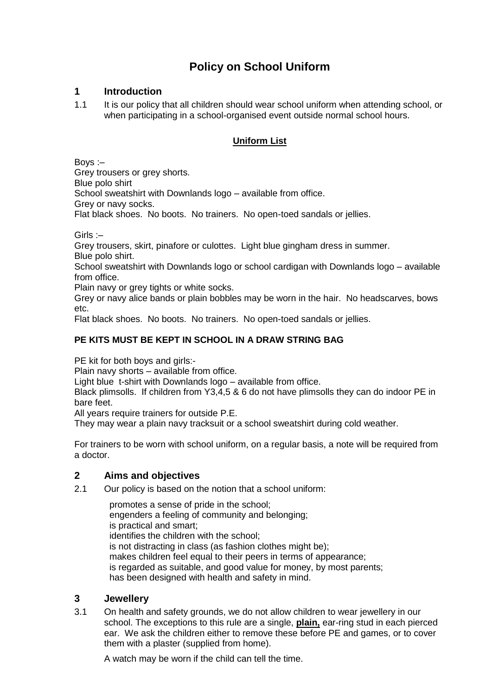# **Policy on School Uniform**

#### **1 Introduction**

1.1 It is our policy that all children should wear school uniform when attending school, or when participating in a school-organised event outside normal school hours.

#### **Uniform List**

Boys :– Grey trousers or grey shorts. Blue polo shirt School sweatshirt with Downlands logo – available from office. Grey or navy socks. Flat black shoes. No boots. No trainers. No open-toed sandals or jellies.

Girls :–

Grey trousers, skirt, pinafore or culottes. Light blue gingham dress in summer. Blue polo shirt.

School sweatshirt with Downlands logo or school cardigan with Downlands logo – available from office.

Plain navy or grey tights or white socks.

Grey or navy alice bands or plain bobbles may be worn in the hair. No headscarves, bows etc.

Flat black shoes. No boots. No trainers. No open-toed sandals or jellies.

#### **PE KITS MUST BE KEPT IN SCHOOL IN A DRAW STRING BAG**

PE kit for both boys and girls:-

Plain navy shorts – available from office.

Light blue t-shirt with Downlands logo – available from office.

Black plimsolls. If children from Y3,4,5 & 6 do not have plimsolls they can do indoor PE in bare feet.

All years require trainers for outside P.E.

They may wear a plain navy tracksuit or a school sweatshirt during cold weather.

For trainers to be worn with school uniform, on a regular basis, a note will be required from a doctor.

#### **2 Aims and objectives**

2.1 Our policy is based on the notion that a school uniform:

promotes a sense of pride in the school; engenders a feeling of community and belonging; is practical and smart; identifies the children with the school; is not distracting in class (as fashion clothes might be); makes children feel equal to their peers in terms of appearance: is regarded as suitable, and good value for money, by most parents; has been designed with health and safety in mind.

#### **3 Jewellery**

3.1 On health and safety grounds, we do not allow children to wear jewellery in our school. The exceptions to this rule are a single, **plain,** ear-ring stud in each pierced ear. We ask the children either to remove these before PE and games, or to cover them with a plaster (supplied from home).

A watch may be worn if the child can tell the time.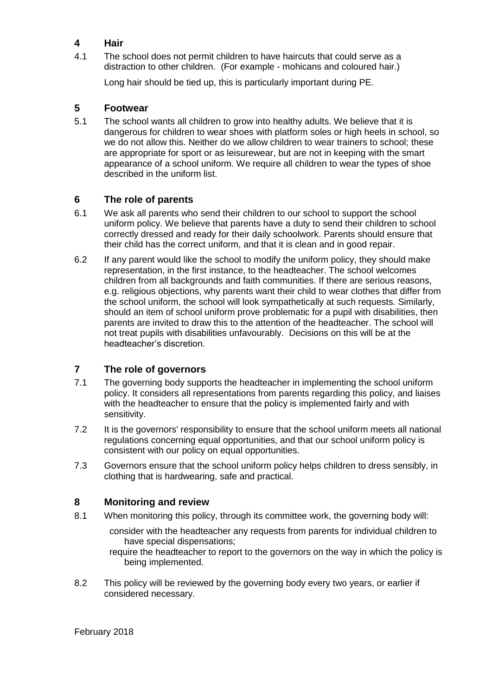#### **4 Hair**

4.1 The school does not permit children to have haircuts that could serve as a distraction to other children. (For example - mohicans and coloured hair.)

Long hair should be tied up, this is particularly important during PE.

#### **5 Footwear**

5.1 The school wants all children to grow into healthy adults. We believe that it is dangerous for children to wear shoes with platform soles or high heels in school, so we do not allow this. Neither do we allow children to wear trainers to school; these are appropriate for sport or as leisurewear, but are not in keeping with the smart appearance of a school uniform. We require all children to wear the types of shoe described in the uniform list.

#### **6 The role of parents**

- 6.1 We ask all parents who send their children to our school to support the school uniform policy. We believe that parents have a duty to send their children to school correctly dressed and ready for their daily schoolwork. Parents should ensure that their child has the correct uniform, and that it is clean and in good repair.
- 6.2 If any parent would like the school to modify the uniform policy, they should make representation, in the first instance, to the headteacher. The school welcomes children from all backgrounds and faith communities. If there are serious reasons, e.g. religious objections, why parents want their child to wear clothes that differ from the school uniform, the school will look sympathetically at such requests. Similarly, should an item of school uniform prove problematic for a pupil with disabilities, then parents are invited to draw this to the attention of the headteacher. The school will not treat pupils with disabilities unfavourably. Decisions on this will be at the headteacher's discretion.

## **7 The role of governors**

- 7.1 The governing body supports the headteacher in implementing the school uniform policy. It considers all representations from parents regarding this policy, and liaises with the headteacher to ensure that the policy is implemented fairly and with sensitivity.
- 7.2 It is the governors' responsibility to ensure that the school uniform meets all national regulations concerning equal opportunities, and that our school uniform policy is consistent with our policy on equal opportunities.
- 7.3 Governors ensure that the school uniform policy helps children to dress sensibly, in clothing that is hardwearing, safe and practical.

## **8 Monitoring and review**

- 8.1 When monitoring this policy, through its committee work, the governing body will:
	- consider with the headteacher any requests from parents for individual children to have special dispensations;

require the headteacher to report to the governors on the way in which the policy is being implemented.

8.2 This policy will be reviewed by the governing body every two years, or earlier if considered necessary.

February 2018